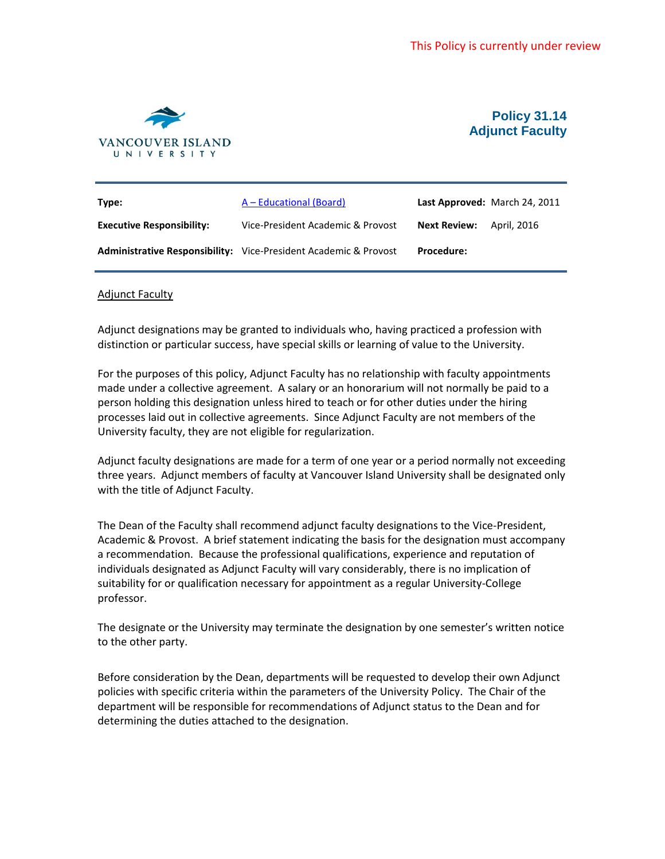

## **Policy 31.14 Adjunct Faculty**

| Type:                            | A – Educational (Board)                                                 |                     | Last Approved: March 24, 2011 |
|----------------------------------|-------------------------------------------------------------------------|---------------------|-------------------------------|
| <b>Executive Responsibility:</b> | Vice-President Academic & Provost                                       | <b>Next Review:</b> | April. 2016                   |
|                                  | <b>Administrative Responsibility:</b> Vice-President Academic & Provost | <b>Procedure:</b>   |                               |

## Adjunct Faculty

Adjunct designations may be granted to individuals who, having practiced a profession with distinction or particular success, have special skills or learning of value to the University.

For the purposes of this policy, Adjunct Faculty has no relationship with faculty appointments made under a collective agreement. A salary or an honorarium will not normally be paid to a person holding this designation unless hired to teach or for other duties under the hiring processes laid out in collective agreements. Since Adjunct Faculty are not members of the University faculty, they are not eligible for regularization.

Adjunct faculty designations are made for a term of one year or a period normally not exceeding three years. Adjunct members of faculty at Vancouver Island University shall be designated only with the title of Adjunct Faculty.

The Dean of the Faculty shall recommend adjunct faculty designations to the Vice-President, Academic & Provost. A brief statement indicating the basis for the designation must accompany a recommendation. Because the professional qualifications, experience and reputation of individuals designated as Adjunct Faculty will vary considerably, there is no implication of suitability for or qualification necessary for appointment as a regular University-College professor.

The designate or the University may terminate the designation by one semester's written notice to the other party.

Before consideration by the Dean, departments will be requested to develop their own Adjunct policies with specific criteria within the parameters of the University Policy. The Chair of the department will be responsible for recommendations of Adjunct status to the Dean and for determining the duties attached to the designation.